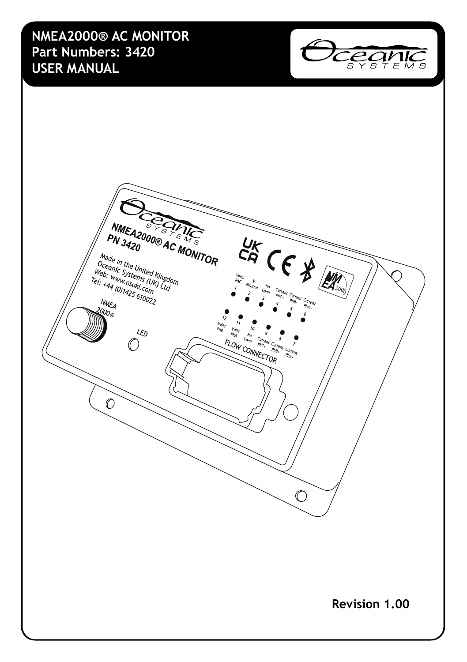**NMEA2000® AC MONITOR Part Numbers: 3420 USER MANUAL**



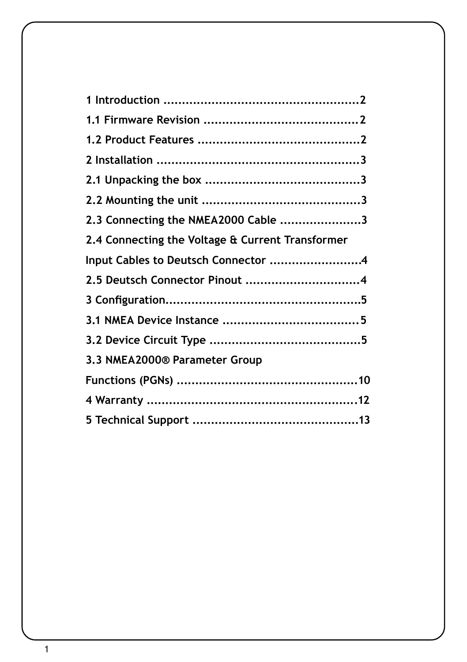| 2.3 Connecting the NMEA2000 Cable 3              |  |
|--------------------------------------------------|--|
| 2.4 Connecting the Voltage & Current Transformer |  |
| Input Cables to Deutsch Connector 4              |  |
| 2.5 Deutsch Connector Pinout 4                   |  |
|                                                  |  |
|                                                  |  |
|                                                  |  |
| 3.3 NMEA2000® Parameter Group                    |  |
|                                                  |  |
|                                                  |  |
|                                                  |  |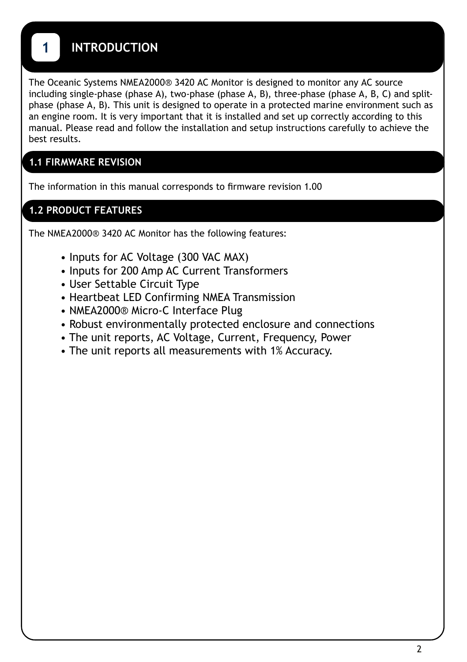## **1 INTRODUCTION**

The Oceanic Systems NMEA2000® 3420 AC Monitor is designed to monitor any AC source including single-phase (phase A), two-phase (phase A, B), three-phase (phase A, B, C) and splitphase (phase A, B). This unit is designed to operate in a protected marine environment such as an engine room. It is very important that it is installed and set up correctly according to this manual. Please read and follow the installation and setup instructions carefully to achieve the best results.

### **1.1 FIRMWARE REVISION**

The information in this manual corresponds to firmware revision 1.00

### **1.2 PRODUCT FEATURES**

The NMEA2000® 3420 AC Monitor has the following features:

- Inputs for AC Voltage (300 VAC MAX)
- Inputs for 200 Amp AC Current Transformers
- User Settable Circuit Type
- Heartbeat LED Confirming NMEA Transmission
- NMEA2000® Micro-C Interface Plug
- Robust environmentally protected enclosure and connections
- The unit reports, AC Voltage, Current, Frequency, Power
- The unit reports all measurements with 1% Accuracy.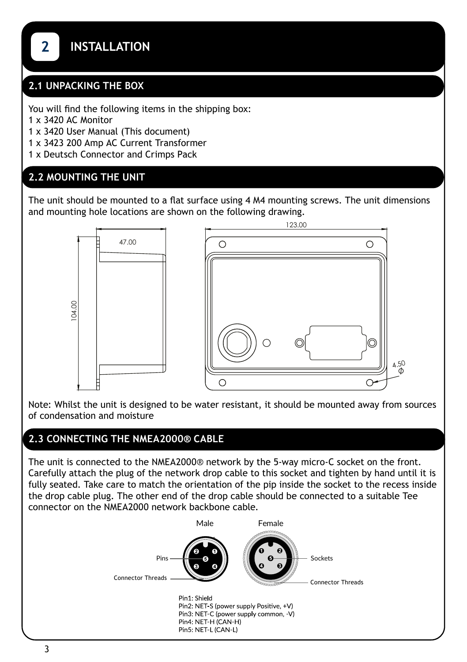#### **2.1 UNPACKING THE BOX**

You will find the following items in the shipping box:

1 x 3420 AC Monitor

1 x 3420 User Manual (This document)

- 1 x 3423 200 Amp AC Current Transformer
- 1 x Deutsch Connector and Crimps Pack

### **2.2 MOUNTING THE UNIT**

The unit should be mounted to a flat surface using 4 M4 mounting screws. The unit dimensions and mounting hole locations are shown on the following drawing.



Note: Whilst the unit is designed to be water resistant, it should be mounted away from sources of condensation and moisture

4.50

### **2.3 CONNECTING THE NMEA2000® CABLE**

The unit is connected to the NMEA2000® network by the 5-way micro-C socket on the front. Carefully attach the plug of the network drop cable to this socket and tighten by hand until it is fully seated. Take care to match the orientation of the pip inside the socket to the recess inside the drop cable plug. The other end of the drop cable should be connected to a suitable Tee connector on the NMEA2000 network backbone cable.

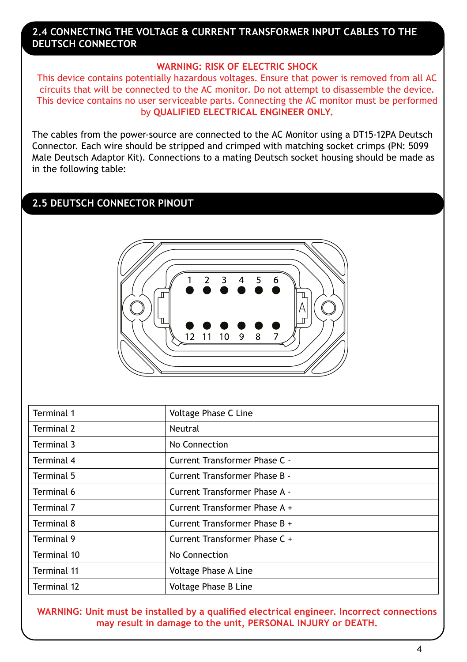#### **2.4 CONNECTING THE VOLTAGE & CURRENT TRANSFORMER INPUT CABLES TO THE DEUTSCH CONNECTOR**

#### **WARNING: RISK OF ELECTRIC SHOCK**

This device contains potentially hazardous voltages. Ensure that power is removed from all AC circuits that will be connected to the AC monitor. Do not attempt to disassemble the device. This device contains no user serviceable parts. Connecting the AC monitor must be performed by **QUALIFIED ELECTRICAL ENGINEER ONLY.**

The cables from the power-source are connected to the AC Monitor using a DT15-12PA Deutsch Connector. Each wire should be stripped and crimped with matching socket crimps (PN: 5099 Male Deutsch Adaptor Kit). Connections to a mating Deutsch socket housing should be made as in the following table:

### **2.5 DEUTSCH CONNECTOR PINOUT**



| Terminal 1  | Voltage Phase C Line          |
|-------------|-------------------------------|
| Terminal 2  | Neutral                       |
| Terminal 3  | No Connection                 |
| Terminal 4  | Current Transformer Phase C - |
| Terminal 5  | Current Transformer Phase B - |
| Terminal 6  | Current Transformer Phase A - |
| Terminal 7  | Current Transformer Phase A + |
| Terminal 8  | Current Transformer Phase B + |
| Terminal 9  | Current Transformer Phase C + |
| Terminal 10 | No Connection                 |
| Terminal 11 | Voltage Phase A Line          |
| Terminal 12 | Voltage Phase B Line          |

**WARNING: Unit must be installed by a qualified electrical engineer. Incorrect connections may result in damage to the unit, PERSONAL INJURY or DEATH.**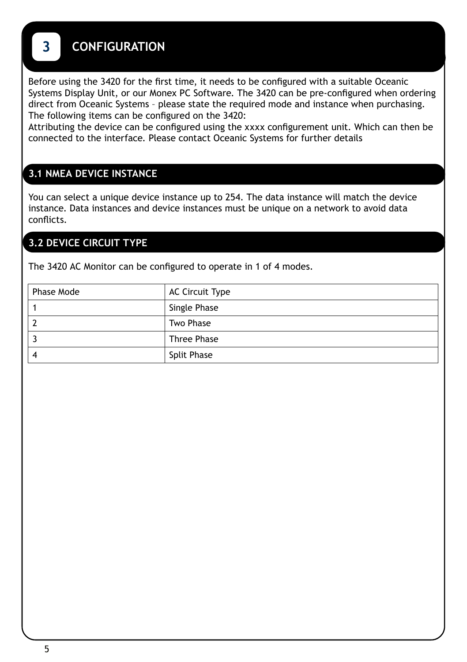## **3 CONFIGURATION**

Before using the 3420 for the first time, it needs to be configured with a suitable Oceanic Systems Display Unit, or our Monex PC Software. The 3420 can be pre-configured when ordering direct from Oceanic Systems – please state the required mode and instance when purchasing. The following items can be configured on the 3420:

Attributing the device can be configured using the xxxx configurement unit. Which can then be connected to the interface. Please contact Oceanic Systems for further details

### **3.1 NMEA DEVICE INSTANCE**

You can select a unique device instance up to 254. The data instance will match the device instance. Data instances and device instances must be unique on a network to avoid data conflicts.

### **3.2 DEVICE CIRCUIT TYPE**

The 3420 AC Monitor can be configured to operate in 1 of 4 modes.

| Phase Mode | AC Circuit Type    |
|------------|--------------------|
|            | Single Phase       |
|            | Two Phase          |
|            | <b>Three Phase</b> |
|            | <b>Split Phase</b> |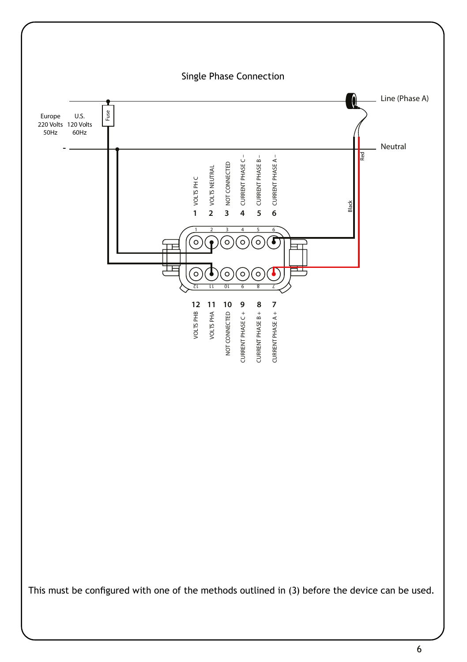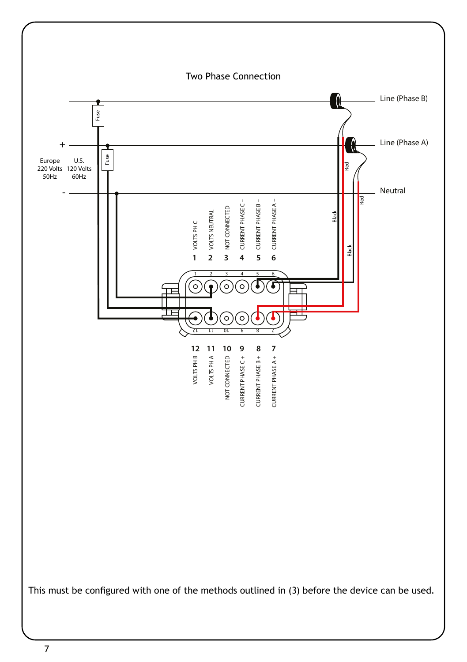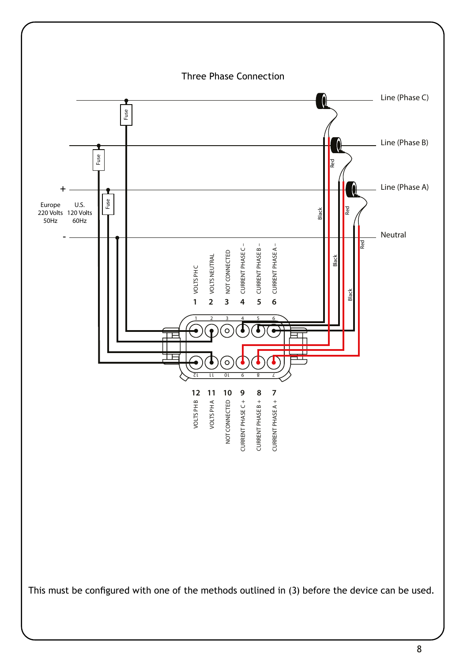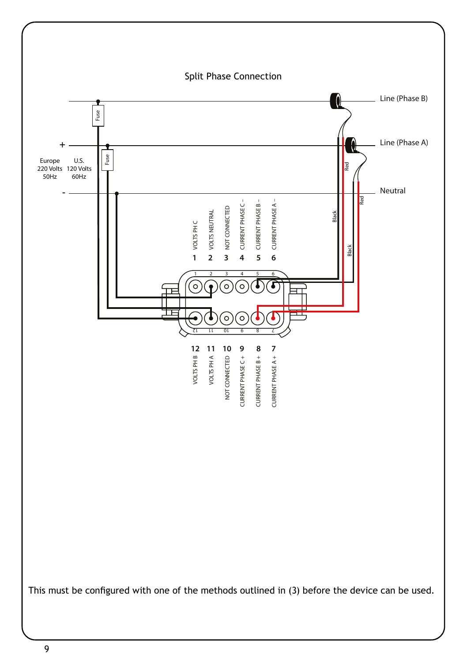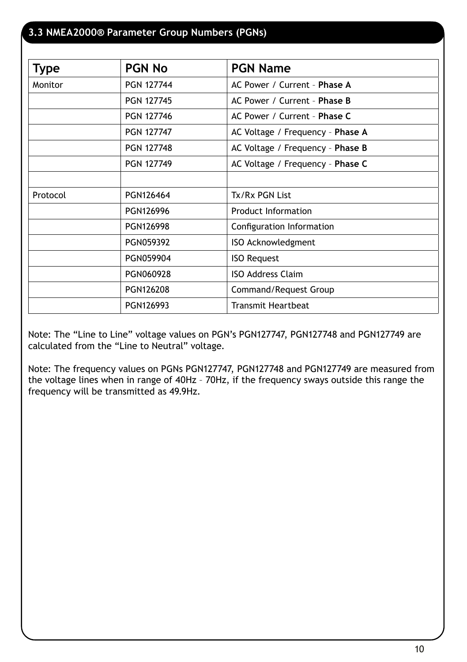### **3.3 NMEA2000® Parameter Group Numbers (PGNs)**

| <b>Type</b> | <b>PGN No</b>     | <b>PGN Name</b>                  |
|-------------|-------------------|----------------------------------|
| Monitor     | <b>PGN 127744</b> | AC Power / Current - Phase A     |
|             | <b>PGN 127745</b> | AC Power / Current - Phase B     |
|             | <b>PGN 127746</b> | AC Power / Current - Phase C     |
|             | <b>PGN 127747</b> | AC Voltage / Frequency - Phase A |
|             | <b>PGN 127748</b> | AC Voltage / Frequency - Phase B |
|             | <b>PGN 127749</b> | AC Voltage / Frequency - Phase C |
|             |                   |                                  |
| Protocol    | PGN126464         | Tx/Rx PGN List                   |
|             | PGN126996         | <b>Product Information</b>       |
|             | PGN126998         | Configuration Information        |
|             | PGN059392         | ISO Acknowledgment               |
|             | PGN059904         | <b>ISO Request</b>               |
|             | PGN060928         | <b>ISO Address Claim</b>         |
|             | PGN126208         | Command/Request Group            |
|             | PGN126993         | <b>Transmit Heartbeat</b>        |

Note: The "Line to Line" voltage values on PGN's PGN127747, PGN127748 and PGN127749 are calculated from the "Line to Neutral" voltage.

Note: The frequency values on PGNs PGN127747, PGN127748 and PGN127749 are measured from the voltage lines when in range of 40Hz – 70Hz, if the frequency sways outside this range the frequency will be transmitted as 49.9Hz.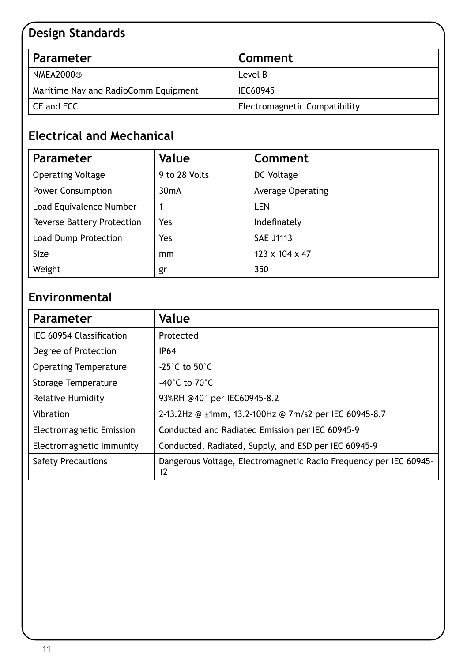# **Design Standards**

| Parameter                            | Comment                       |
|--------------------------------------|-------------------------------|
| NMEA2000®                            | Level B                       |
| Maritime Nav and RadioComm Equipment | IEC60945                      |
| CE and FCC                           | Electromagnetic Compatibility |

# **Electrical and Mechanical**

| <b>Parameter</b>                  | Value         | Comment           |
|-----------------------------------|---------------|-------------------|
| <b>Operating Voltage</b>          | 9 to 28 Volts | DC Voltage        |
| <b>Power Consumption</b>          | $30m$ A       | Average Operating |
| Load Equivalence Number           | 1             | LEN               |
| <b>Reverse Battery Protection</b> | Yes           | Indefinately      |
| Load Dump Protection              | Yes           | <b>SAE J1113</b>  |
| Size                              | mm            | 123 x 104 x 47    |
| Weight                            | gr            | 350               |

# **Environmental**

| <b>Parameter</b>             | Value                                                                   |
|------------------------------|-------------------------------------------------------------------------|
| IEC 60954 Classification     | Protected                                                               |
| Degree of Protection         | IP64                                                                    |
| <b>Operating Temperature</b> | -25 $^{\circ}$ C to 50 $^{\circ}$ C                                     |
| Storage Temperature          | -40°C to 70°C                                                           |
| <b>Relative Humidity</b>     | 93%RH @40° per IEC60945-8.2                                             |
| Vibration                    | 2-13.2Hz @ ±1mm, 13.2-100Hz @ 7m/s2 per IEC 60945-8.7                   |
| Electromagnetic Emission     | Conducted and Radiated Emission per IEC 60945-9                         |
| Electromagnetic Immunity     | Conducted, Radiated, Supply, and ESD per IEC 60945-9                    |
| <b>Safety Precautions</b>    | Dangerous Voltage, Electromagnetic Radio Frequency per IEC 60945-<br>12 |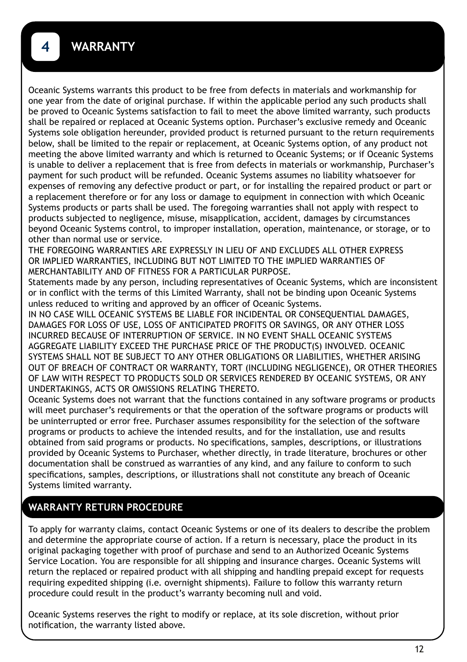Oceanic Systems warrants this product to be free from defects in materials and workmanship for one year from the date of original purchase. If within the applicable period any such products shall be proved to Oceanic Systems satisfaction to fail to meet the above limited warranty, such products shall be repaired or replaced at Oceanic Systems option. Purchaser's exclusive remedy and Oceanic Systems sole obligation hereunder, provided product is returned pursuant to the return requirements below, shall be limited to the repair or replacement, at Oceanic Systems option, of any product not meeting the above limited warranty and which is returned to Oceanic Systems; or if Oceanic Systems is unable to deliver a replacement that is free from defects in materials or workmanship, Purchaser's payment for such product will be refunded. Oceanic Systems assumes no liability whatsoever for expenses of removing any defective product or part, or for installing the repaired product or part or a replacement therefore or for any loss or damage to equipment in connection with which Oceanic Systems products or parts shall be used. The foregoing warranties shall not apply with respect to products subjected to negligence, misuse, misapplication, accident, damages by circumstances beyond Oceanic Systems control, to improper installation, operation, maintenance, or storage, or to other than normal use or service.

THE FOREGOING WARRANTIES ARE EXPRESSLY IN LIEU OF AND EXCLUDES ALL OTHER EXPRESS OR IMPLIED WARRANTIES, INCLUDING BUT NOT LIMITED TO THE IMPLIED WARRANTIES OF MERCHANTABILITY AND OF FITNESS FOR A PARTICULAR PURPOSE.

Statements made by any person, including representatives of Oceanic Systems, which are inconsistent or in conflict with the terms of this Limited Warranty, shall not be binding upon Oceanic Systems unless reduced to writing and approved by an officer of Oceanic Systems.

IN NO CASE WILL OCEANIC SYSTEMS BE LIABLE FOR INCIDENTAL OR CONSEQUENTIAL DAMAGES, DAMAGES FOR LOSS OF USE, LOSS OF ANTICIPATED PROFITS OR SAVINGS, OR ANY OTHER LOSS INCURRED BECAUSE OF INTERRUPTION OF SERVICE. IN NO EVENT SHALL OCEANIC SYSTEMS AGGREGATE LIABILITY EXCEED THE PURCHASE PRICE OF THE PRODUCT(S) INVOLVED. OCEANIC SYSTEMS SHALL NOT BE SUBJECT TO ANY OTHER OBLIGATIONS OR LIABILITIES, WHETHER ARISING OUT OF BREACH OF CONTRACT OR WARRANTY, TORT (INCLUDING NEGLIGENCE), OR OTHER THEORIES OF LAW WITH RESPECT TO PRODUCTS SOLD OR SERVICES RENDERED BY OCEANIC SYSTEMS, OR ANY UNDERTAKINGS, ACTS OR OMISSIONS RELATING THERETO.

Oceanic Systems does not warrant that the functions contained in any software programs or products will meet purchaser's requirements or that the operation of the software programs or products will be uninterrupted or error free. Purchaser assumes responsibility for the selection of the software programs or products to achieve the intended results, and for the installation, use and results obtained from said programs or products. No specifications, samples, descriptions, or illustrations provided by Oceanic Systems to Purchaser, whether directly, in trade literature, brochures or other documentation shall be construed as warranties of any kind, and any failure to conform to such specifications, samples, descriptions, or illustrations shall not constitute any breach of Oceanic Systems limited warranty.

### **WARRANTY RETURN PROCEDURE**

To apply for warranty claims, contact Oceanic Systems or one of its dealers to describe the problem and determine the appropriate course of action. If a return is necessary, place the product in its original packaging together with proof of purchase and send to an Authorized Oceanic Systems Service Location. You are responsible for all shipping and insurance charges. Oceanic Systems will return the replaced or repaired product with all shipping and handling prepaid except for requests requiring expedited shipping (i.e. overnight shipments). Failure to follow this warranty return procedure could result in the product's warranty becoming null and void.

Oceanic Systems reserves the right to modify or replace, at its sole discretion, without prior notification, the warranty listed above.